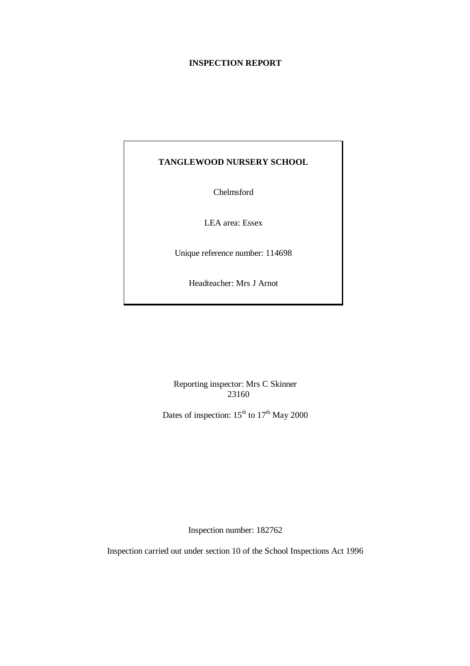## **INSPECTION REPORT**

# **TANGLEWOOD NURSERY SCHOOL**

Chelmsford

LEA area: Essex

Unique reference number: 114698

Headteacher: Mrs J Arnot

Reporting inspector: Mrs C Skinner 23160

Dates of inspection:  $15^{th}$  to  $17^{th}$  May 2000

Inspection number: 182762

Inspection carried out under section 10 of the School Inspections Act 1996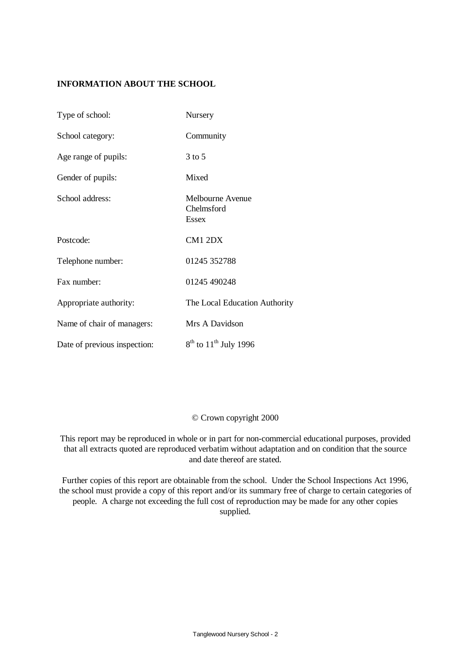# **INFORMATION ABOUT THE SCHOOL**

| Type of school:              | Nursery                                        |
|------------------------------|------------------------------------------------|
| School category:             | Community                                      |
| Age range of pupils:         | $3$ to $5$                                     |
| Gender of pupils:            | Mixed                                          |
| School address:              | Melbourne Avenue<br>Chelmsford<br><b>Essex</b> |
| Postcode:                    | CM1 2DX                                        |
| Telephone number:            | 01245 352788                                   |
| Fax number:                  | 01245 490248                                   |
| Appropriate authority:       | The Local Education Authority                  |
| Name of chair of managers:   | Mrs A Davidson                                 |
| Date of previous inspection: | $8^{th}$ to $11^{th}$ July 1996                |

#### © Crown copyright 2000

This report may be reproduced in whole or in part for non-commercial educational purposes, provided that all extracts quoted are reproduced verbatim without adaptation and on condition that the source and date thereof are stated.

Further copies of this report are obtainable from the school. Under the School Inspections Act 1996, the school must provide a copy of this report and/or its summary free of charge to certain categories of people. A charge not exceeding the full cost of reproduction may be made for any other copies supplied.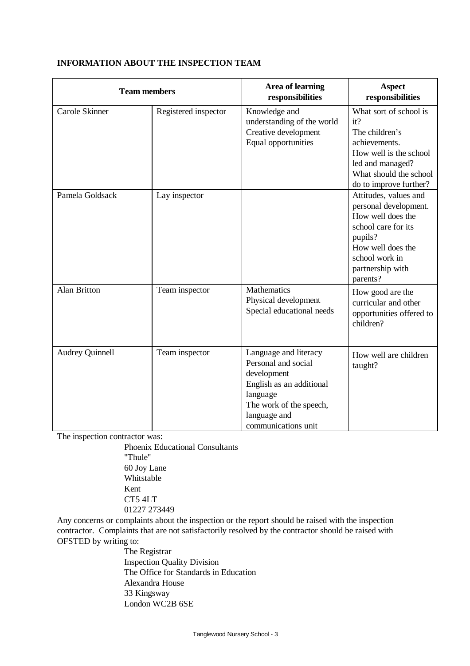| <b>Team members</b>    |                      | <b>Area of learning</b><br>responsibilities                                                                                                                           | <b>Aspect</b><br>responsibilities                                                                                                                                            |  |
|------------------------|----------------------|-----------------------------------------------------------------------------------------------------------------------------------------------------------------------|------------------------------------------------------------------------------------------------------------------------------------------------------------------------------|--|
| Carole Skinner         | Registered inspector | Knowledge and<br>understanding of the world<br>Creative development<br>Equal opportunities                                                                            | What sort of school is<br>it?<br>The children's<br>achievements.<br>How well is the school<br>led and managed?<br>What should the school<br>do to improve further?           |  |
| Pamela Goldsack        | Lay inspector        |                                                                                                                                                                       | Attitudes, values and<br>personal development.<br>How well does the<br>school care for its<br>pupils?<br>How well does the<br>school work in<br>partnership with<br>parents? |  |
| <b>Alan Britton</b>    | Team inspector       | Mathematics<br>Physical development<br>Special educational needs                                                                                                      | How good are the<br>curricular and other<br>opportunities offered to<br>children?                                                                                            |  |
| <b>Audrey Quinnell</b> | Team inspector       | Language and literacy<br>Personal and social<br>development<br>English as an additional<br>language<br>The work of the speech,<br>language and<br>communications unit | How well are children<br>taught?                                                                                                                                             |  |

## **INFORMATION ABOUT THE INSPECTION TEAM**

The inspection contractor was:

Phoenix Educational Consultants "Thule" 60 Joy Lane Whitstable Kent CT5 4LT 01227 273449

Any concerns or complaints about the inspection or the report should be raised with the inspection contractor. Complaints that are not satisfactorily resolved by the contractor should be raised with OFSTED by writing to:

The Registrar Inspection Quality Division The Office for Standards in Education Alexandra House 33 Kingsway London WC2B 6SE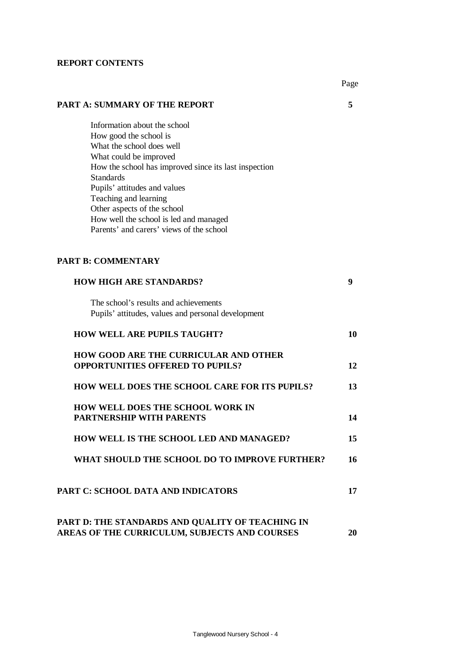#### **REPORT CONTENTS**

Page

# **PART A: SUMMARY OF THE REPORT 5**

Information about the school How good the school is What the school does well What could be improved How the school has improved since its last inspection Standards Pupils' attitudes and values Teaching and learning Other aspects of the school How well the school is led and managed Parents' and carers' views of the school

## **PART B: COMMENTARY**

| <b>HOW HIGH ARE STANDARDS?</b>                                                                    | 9  |
|---------------------------------------------------------------------------------------------------|----|
| The school's results and achievements<br>Pupils' attitudes, values and personal development       |    |
| <b>HOW WELL ARE PUPILS TAUGHT?</b>                                                                | 10 |
| <b>HOW GOOD ARE THE CURRICULAR AND OTHER</b><br><b>OPPORTUNITIES OFFERED TO PUPILS?</b>           | 12 |
| <b>HOW WELL DOES THE SCHOOL CARE FOR ITS PUPILS?</b>                                              | 13 |
| <b>HOW WELL DOES THE SCHOOL WORK IN</b><br><b>PARTNERSHIP WITH PARENTS</b>                        | 14 |
| HOW WELL IS THE SCHOOL LED AND MANAGED?                                                           | 15 |
| WHAT SHOULD THE SCHOOL DO TO IMPROVE FURTHER?                                                     | 16 |
| PART C: SCHOOL DATA AND INDICATORS                                                                | 17 |
| PART D: THE STANDARDS AND QUALITY OF TEACHING IN<br>AREAS OF THE CURRICULUM, SUBJECTS AND COURSES | 20 |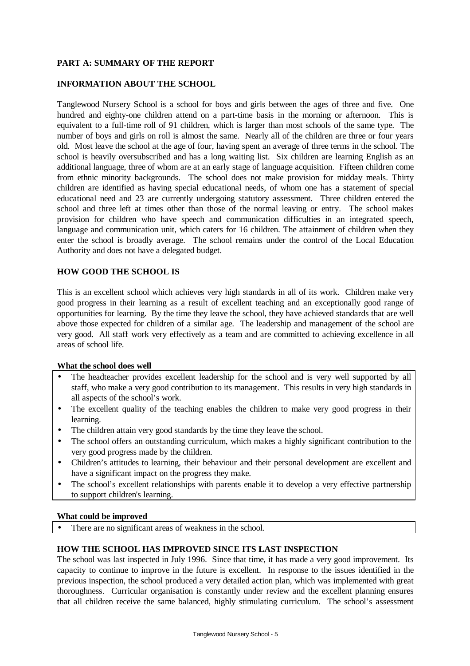## **PART A: SUMMARY OF THE REPORT**

## **INFORMATION ABOUT THE SCHOOL**

Tanglewood Nursery School is a school for boys and girls between the ages of three and five. One hundred and eighty-one children attend on a part-time basis in the morning or afternoon. This is equivalent to a full-time roll of 91 children, which is larger than most schools of the same type. The number of boys and girls on roll is almost the same. Nearly all of the children are three or four years old. Most leave the school at the age of four, having spent an average of three terms in the school. The school is heavily oversubscribed and has a long waiting list. Six children are learning English as an additional language, three of whom are at an early stage of language acquisition. Fifteen children come from ethnic minority backgrounds. The school does not make provision for midday meals. Thirty children are identified as having special educational needs, of whom one has a statement of special educational need and 23 are currently undergoing statutory assessment. Three children entered the school and three left at times other than those of the normal leaving or entry. The school makes provision for children who have speech and communication difficulties in an integrated speech, language and communication unit, which caters for 16 children. The attainment of children when they enter the school is broadly average. The school remains under the control of the Local Education Authority and does not have a delegated budget.

#### **HOW GOOD THE SCHOOL IS**

This is an excellent school which achieves very high standards in all of its work. Children make very good progress in their learning as a result of excellent teaching and an exceptionally good range of opportunities for learning. By the time they leave the school, they have achieved standards that are well above those expected for children of a similar age. The leadership and management of the school are very good. All staff work very effectively as a team and are committed to achieving excellence in all areas of school life.

#### **What the school does well**

- The headteacher provides excellent leadership for the school and is very well supported by all staff, who make a very good contribution to its management. This results in very high standards in all aspects of the school's work.
- The excellent quality of the teaching enables the children to make very good progress in their learning.
- The children attain very good standards by the time they leave the school.
- The school offers an outstanding curriculum, which makes a highly significant contribution to the very good progress made by the children.
- Children's attitudes to learning, their behaviour and their personal development are excellent and have a significant impact on the progress they make.
- The school's excellent relationships with parents enable it to develop a very effective partnership to support children's learning.

#### **What could be improved**

• There are no significant areas of weakness in the school.

# **HOW THE SCHOOL HAS IMPROVED SINCE ITS LAST INSPECTION**

The school was last inspected in July 1996. Since that time, it has made a very good improvement. Its capacity to continue to improve in the future is excellent. In response to the issues identified in the previous inspection, the school produced a very detailed action plan, which was implemented with great thoroughness. Curricular organisation is constantly under review and the excellent planning ensures that all children receive the same balanced, highly stimulating curriculum. The school's assessment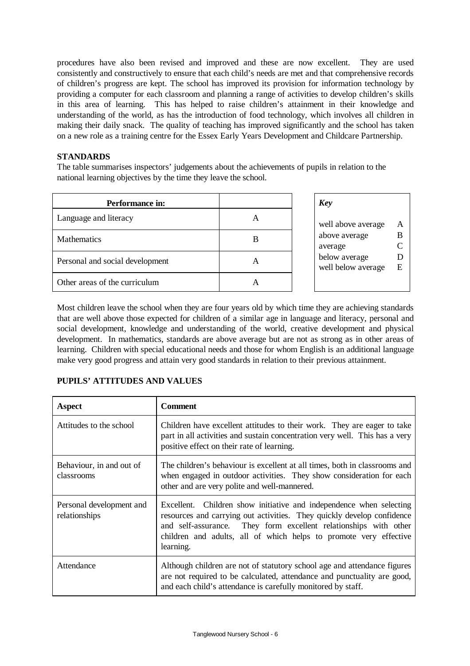procedures have also been revised and improved and these are now excellent. They are used consistently and constructively to ensure that each child's needs are met and that comprehensive records of children's progress are kept. The school has improved its provision for information technology by providing a computer for each classroom and planning a range of activities to develop children's skills in this area of learning. This has helped to raise children's attainment in their knowledge and understanding of the world, as has the introduction of food technology, which involves all children in making their daily snack. The quality of teaching has improved significantly and the school has taken on a new role as a training centre for the Essex Early Years Development and Childcare Partnership.

## **STANDARDS**

The table summarises inspectors' judgements about the achievements of pupils in relation to the national learning objectives by the time they leave the school.

| Performance in:                 |   | Key                                 |   |
|---------------------------------|---|-------------------------------------|---|
| Language and literacy           | A | well above average                  | A |
| <b>Mathematics</b>              | В | above average<br>B<br>average       |   |
| Personal and social development | A | below average<br>well below average | E |
| Other areas of the curriculum   | A |                                     |   |

Most children leave the school when they are four years old by which time they are achieving standards that are well above those expected for children of a similar age in language and literacy, personal and social development, knowledge and understanding of the world, creative development and physical development. In mathematics, standards are above average but are not as strong as in other areas of learning. Children with special educational needs and those for whom English is an additional language make very good progress and attain very good standards in relation to their previous attainment.

| <b>PUPILS' ATTITUDES AND VALUES</b> |  |
|-------------------------------------|--|
|-------------------------------------|--|

| <b>Aspect</b>                             | Comment                                                                                                                                                                                                                                                                                             |  |  |
|-------------------------------------------|-----------------------------------------------------------------------------------------------------------------------------------------------------------------------------------------------------------------------------------------------------------------------------------------------------|--|--|
| Attitudes to the school                   | Children have excellent attitudes to their work. They are eager to take<br>part in all activities and sustain concentration very well. This has a very<br>positive effect on their rate of learning.                                                                                                |  |  |
| Behaviour, in and out of<br>classrooms    | The children's behaviour is excellent at all times, both in classrooms and<br>when engaged in outdoor activities. They show consideration for each<br>other and are very polite and well-mannered.                                                                                                  |  |  |
| Personal development and<br>relationships | Excellent. Children show initiative and independence when selecting<br>resources and carrying out activities. They quickly develop confidence<br>and self-assurance. They form excellent relationships with other<br>children and adults, all of which helps to promote very effective<br>learning. |  |  |
| Attendance                                | Although children are not of statutory school age and attendance figures<br>are not required to be calculated, attendance and punctuality are good,<br>and each child's attendance is carefully monitored by staff.                                                                                 |  |  |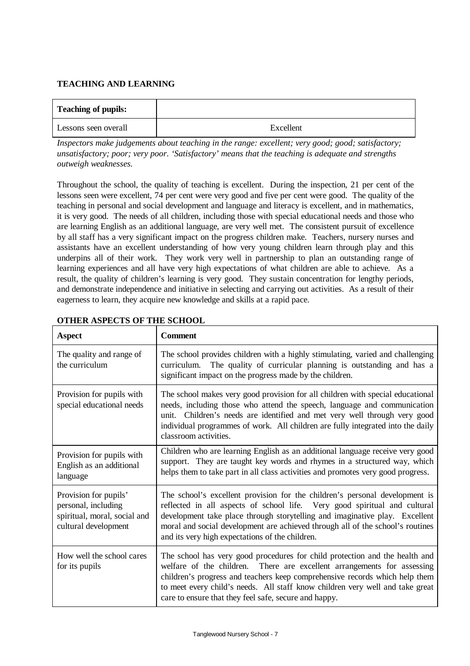## **TEACHING AND LEARNING**

| <b>Teaching of pupils:</b> |           |
|----------------------------|-----------|
| Lessons seen overall       | Excellent |

*Inspectors make judgements about teaching in the range: excellent; very good; good; satisfactory; unsatisfactory; poor; very poor. 'Satisfactory' means that the teaching is adequate and strengths outweigh weaknesses.*

Throughout the school, the quality of teaching is excellent. During the inspection, 21 per cent of the lessons seen were excellent, 74 per cent were very good and five per cent were good. The quality of the teaching in personal and social development and language and literacy is excellent, and in mathematics, it is very good. The needs of all children, including those with special educational needs and those who are learning English as an additional language, are very well met. The consistent pursuit of excellence by all staff has a very significant impact on the progress children make. Teachers, nursery nurses and assistants have an excellent understanding of how very young children learn through play and this underpins all of their work. They work very well in partnership to plan an outstanding range of learning experiences and all have very high expectations of what children are able to achieve. As a result, the quality of children's learning is very good. They sustain concentration for lengthy periods, and demonstrate independence and initiative in selecting and carrying out activities. As a result of their eagerness to learn, they acquire new knowledge and skills at a rapid pace.

| <b>Aspect</b>                                                                                        | <b>Comment</b>                                                                                                                                                                                                                                                                                                                                                                  |
|------------------------------------------------------------------------------------------------------|---------------------------------------------------------------------------------------------------------------------------------------------------------------------------------------------------------------------------------------------------------------------------------------------------------------------------------------------------------------------------------|
| The quality and range of<br>the curriculum                                                           | The school provides children with a highly stimulating, varied and challenging<br>curriculum. The quality of curricular planning is outstanding and has a<br>significant impact on the progress made by the children.                                                                                                                                                           |
| Provision for pupils with<br>special educational needs                                               | The school makes very good provision for all children with special educational<br>needs, including those who attend the speech, language and communication<br>unit. Children's needs are identified and met very well through very good<br>individual programmes of work. All children are fully integrated into the daily<br>classroom activities.                             |
| Provision for pupils with<br>English as an additional<br>language                                    | Children who are learning English as an additional language receive very good<br>support. They are taught key words and rhymes in a structured way, which<br>helps them to take part in all class activities and promotes very good progress.                                                                                                                                   |
| Provision for pupils'<br>personal, including<br>spiritual, moral, social and<br>cultural development | The school's excellent provision for the children's personal development is<br>reflected in all aspects of school life. Very good spiritual and cultural<br>development take place through storytelling and imaginative play. Excellent<br>moral and social development are achieved through all of the school's routines<br>and its very high expectations of the children.    |
| How well the school cares<br>for its pupils                                                          | The school has very good procedures for child protection and the health and<br>welfare of the children. There are excellent arrangements for assessing<br>children's progress and teachers keep comprehensive records which help them<br>to meet every child's needs. All staff know children very well and take great<br>care to ensure that they feel safe, secure and happy. |

# **OTHER ASPECTS OF THE SCHOOL**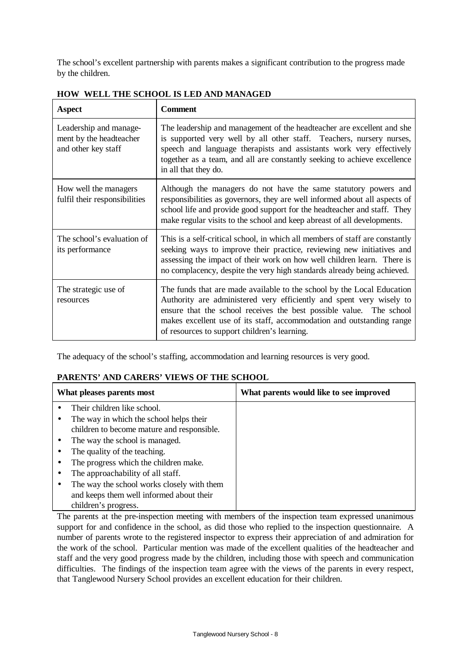The school's excellent partnership with parents makes a significant contribution to the progress made by the children.

| <b>Aspect</b>                                                            | <b>Comment</b>                                                                                                                                                                                                                                                                                                                                 |
|--------------------------------------------------------------------------|------------------------------------------------------------------------------------------------------------------------------------------------------------------------------------------------------------------------------------------------------------------------------------------------------------------------------------------------|
| Leadership and manage-<br>ment by the headteacher<br>and other key staff | The leadership and management of the headteacher are excellent and she<br>is supported very well by all other staff. Teachers, nursery nurses,<br>speech and language therapists and assistants work very effectively<br>together as a team, and all are constantly seeking to achieve excellence<br>in all that they do.                      |
| How well the managers<br>fulfil their responsibilities                   | Although the managers do not have the same statutory powers and<br>responsibilities as governors, they are well informed about all aspects of<br>school life and provide good support for the headteacher and staff. They<br>make regular visits to the school and keep abreast of all developments.                                           |
| The school's evaluation of<br>its performance                            | This is a self-critical school, in which all members of staff are constantly<br>seeking ways to improve their practice, reviewing new initiatives and<br>assessing the impact of their work on how well children learn. There is<br>no complacency, despite the very high standards already being achieved.                                    |
| The strategic use of<br>resources                                        | The funds that are made available to the school by the Local Education<br>Authority are administered very efficiently and spent very wisely to<br>ensure that the school receives the best possible value. The school<br>makes excellent use of its staff, accommodation and outstanding range<br>of resources to support children's learning. |

**HOW WELL THE SCHOOL IS LED AND MANAGED**

The adequacy of the school's staffing, accommodation and learning resources is very good.

## **PARENTS' AND CARERS' VIEWS OF THE SCHOOL**

| What pleases parents most                  | What parents would like to see improved |
|--------------------------------------------|-----------------------------------------|
| Their children like school.                |                                         |
| The way in which the school helps their    |                                         |
| children to become mature and responsible. |                                         |
| The way the school is managed.             |                                         |
| The quality of the teaching.               |                                         |
| The progress which the children make.      |                                         |
| The approachability of all staff.          |                                         |
| The way the school works closely with them |                                         |
| and keeps them well informed about their   |                                         |
| children's progress.                       |                                         |

The parents at the pre-inspection meeting with members of the inspection team expressed unanimous support for and confidence in the school, as did those who replied to the inspection questionnaire. A number of parents wrote to the registered inspector to express their appreciation of and admiration for the work of the school. Particular mention was made of the excellent qualities of the headteacher and staff and the very good progress made by the children, including those with speech and communication difficulties. The findings of the inspection team agree with the views of the parents in every respect, that Tanglewood Nursery School provides an excellent education for their children.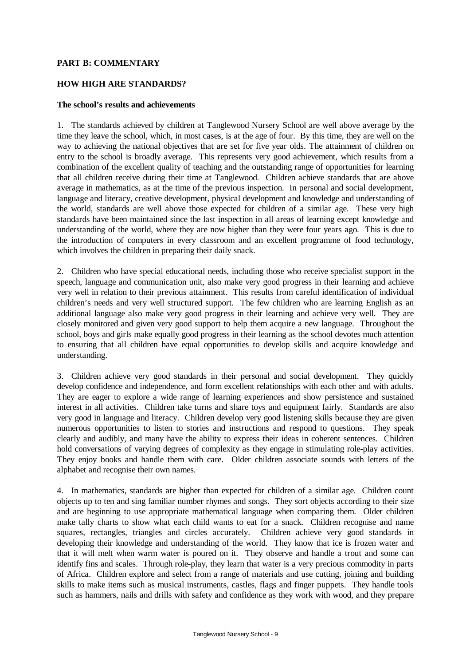## **PART B: COMMENTARY**

#### **HOW HIGH ARE STANDARDS?**

#### **The school's results and achievements**

1. The standards achieved by children at Tanglewood Nursery School are well above average by the time they leave the school, which, in most cases, is at the age of four. By this time, they are well on the way to achieving the national objectives that are set for five year olds. The attainment of children on entry to the school is broadly average. This represents very good achievement, which results from a combination of the excellent quality of teaching and the outstanding range of opportunities for learning that all children receive during their time at Tanglewood. Children achieve standards that are above average in mathematics, as at the time of the previous inspection. In personal and social development, language and literacy, creative development, physical development and knowledge and understanding of the world, standards are well above those expected for children of a similar age. These very high standards have been maintained since the last inspection in all areas of learning except knowledge and understanding of the world, where they are now higher than they were four years ago. This is due to the introduction of computers in every classroom and an excellent programme of food technology, which involves the children in preparing their daily snack.

2. Children who have special educational needs, including those who receive specialist support in the speech, language and communication unit, also make very good progress in their learning and achieve very well in relation to their previous attainment. This results from careful identification of individual children's needs and very well structured support. The few children who are learning English as an additional language also make very good progress in their learning and achieve very well. They are closely monitored and given very good support to help them acquire a new language. Throughout the school, boys and girls make equally good progress in their learning as the school devotes much attention to ensuring that all children have equal opportunities to develop skills and acquire knowledge and understanding.

3. Children achieve very good standards in their personal and social development. They quickly develop confidence and independence, and form excellent relationships with each other and with adults. They are eager to explore a wide range of learning experiences and show persistence and sustained interest in all activities. Children take turns and share toys and equipment fairly. Standards are also very good in language and literacy. Children develop very good listening skills because they are given numerous opportunities to listen to stories and instructions and respond to questions. They speak clearly and audibly, and many have the ability to express their ideas in coherent sentences. Children hold conversations of varying degrees of complexity as they engage in stimulating role-play activities. They enjoy books and handle them with care. Older children associate sounds with letters of the alphabet and recognise their own names.

4. In mathematics, standards are higher than expected for children of a similar age. Children count objects up to ten and sing familiar number rhymes and songs. They sort objects according to their size and are beginning to use appropriate mathematical language when comparing them. Older children make tally charts to show what each child wants to eat for a snack. Children recognise and name squares, rectangles, triangles and circles accurately. Children achieve very good standards in developing their knowledge and understanding of the world. They know that ice is frozen water and that it will melt when warm water is poured on it. They observe and handle a trout and some can identify fins and scales. Through role-play, they learn that water is a very precious commodity in parts of Africa. Children explore and select from a range of materials and use cutting, joining and building skills to make items such as musical instruments, castles, flags and finger puppets. They handle tools such as hammers, nails and drills with safety and confidence as they work with wood, and they prepare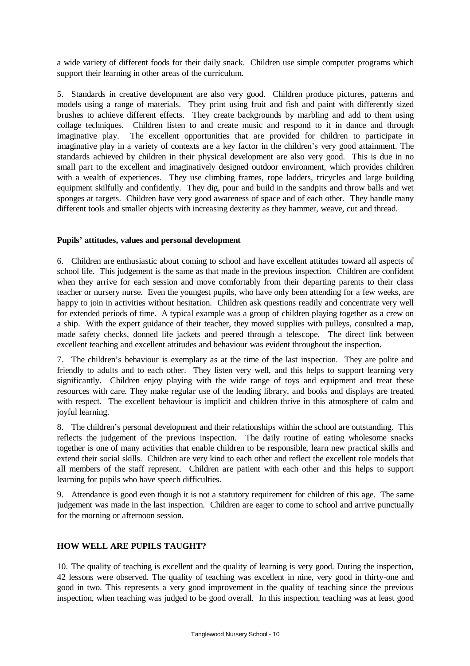a wide variety of different foods for their daily snack. Children use simple computer programs which support their learning in other areas of the curriculum.

5. Standards in creative development are also very good. Children produce pictures, patterns and models using a range of materials. They print using fruit and fish and paint with differently sized brushes to achieve different effects. They create backgrounds by marbling and add to them using collage techniques. Children listen to and create music and respond to it in dance and through imaginative play. The excellent opportunities that are provided for children to participate in imaginative play in a variety of contexts are a key factor in the children's very good attainment. The standards achieved by children in their physical development are also very good. This is due in no small part to the excellent and imaginatively designed outdoor environment, which provides children with a wealth of experiences. They use climbing frames, rope ladders, tricycles and large building equipment skilfully and confidently. They dig, pour and build in the sandpits and throw balls and wet sponges at targets. Children have very good awareness of space and of each other. They handle many different tools and smaller objects with increasing dexterity as they hammer, weave, cut and thread.

#### **Pupils' attitudes, values and personal development**

6. Children are enthusiastic about coming to school and have excellent attitudes toward all aspects of school life. This judgement is the same as that made in the previous inspection. Children are confident when they arrive for each session and move comfortably from their departing parents to their class teacher or nursery nurse. Even the youngest pupils, who have only been attending for a few weeks, are happy to join in activities without hesitation. Children ask questions readily and concentrate very well for extended periods of time. A typical example was a group of children playing together as a crew on a ship. With the expert guidance of their teacher, they moved supplies with pulleys, consulted a map, made safety checks, donned life jackets and peered through a telescope. The direct link between excellent teaching and excellent attitudes and behaviour was evident throughout the inspection.

7. The children's behaviour is exemplary as at the time of the last inspection. They are polite and friendly to adults and to each other. They listen very well, and this helps to support learning very significantly. Children enjoy playing with the wide range of toys and equipment and treat these resources with care. They make regular use of the lending library, and books and displays are treated with respect. The excellent behaviour is implicit and children thrive in this atmosphere of calm and joyful learning.

8. The children's personal development and their relationships within the school are outstanding. This reflects the judgement of the previous inspection. The daily routine of eating wholesome snacks together is one of many activities that enable children to be responsible, learn new practical skills and extend their social skills. Children are very kind to each other and reflect the excellent role models that all members of the staff represent. Children are patient with each other and this helps to support learning for pupils who have speech difficulties.

9. Attendance is good even though it is not a statutory requirement for children of this age. The same judgement was made in the last inspection. Children are eager to come to school and arrive punctually for the morning or afternoon session.

## **HOW WELL ARE PUPILS TAUGHT?**

10. The quality of teaching is excellent and the quality of learning is very good. During the inspection, 42 lessons were observed. The quality of teaching was excellent in nine, very good in thirty-one and good in two. This represents a very good improvement in the quality of teaching since the previous inspection, when teaching was judged to be good overall. In this inspection, teaching was at least good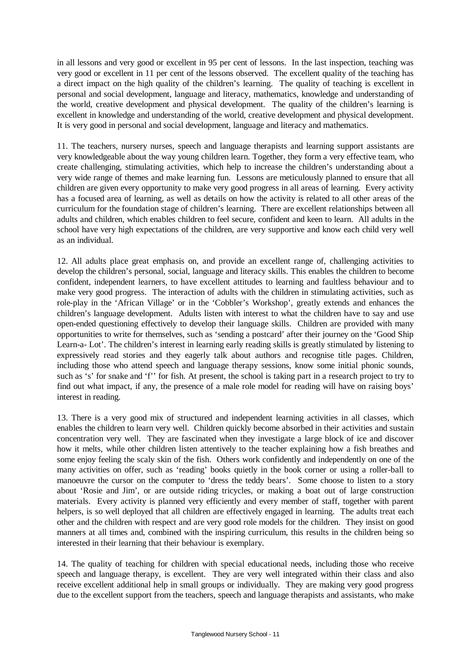in all lessons and very good or excellent in 95 per cent of lessons. In the last inspection, teaching was very good or excellent in 11 per cent of the lessons observed. The excellent quality of the teaching has a direct impact on the high quality of the children's learning. The quality of teaching is excellent in personal and social development, language and literacy, mathematics, knowledge and understanding of the world, creative development and physical development. The quality of the children's learning is excellent in knowledge and understanding of the world, creative development and physical development. It is very good in personal and social development, language and literacy and mathematics.

11. The teachers, nursery nurses, speech and language therapists and learning support assistants are very knowledgeable about the way young children learn. Together, they form a very effective team, who create challenging, stimulating activities, which help to increase the children's understanding about a very wide range of themes and make learning fun. Lessons are meticulously planned to ensure that all children are given every opportunity to make very good progress in all areas of learning. Every activity has a focused area of learning, as well as details on how the activity is related to all other areas of the curriculum for the foundation stage of children's learning. There are excellent relationships between all adults and children, which enables children to feel secure, confident and keen to learn. All adults in the school have very high expectations of the children, are very supportive and know each child very well as an individual.

12. All adults place great emphasis on, and provide an excellent range of, challenging activities to develop the children's personal, social, language and literacy skills. This enables the children to become confident, independent learners, to have excellent attitudes to learning and faultless behaviour and to make very good progress. The interaction of adults with the children in stimulating activities, such as role-play in the 'African Village' or in the 'Cobbler's Workshop', greatly extends and enhances the children's language development. Adults listen with interest to what the children have to say and use open-ended questioning effectively to develop their language skills. Children are provided with many opportunities to write for themselves, such as 'sending a postcard' after their journey on the 'Good Ship Learn-a- Lot'. The children's interest in learning early reading skills is greatly stimulated by listening to expressively read stories and they eagerly talk about authors and recognise title pages. Children, including those who attend speech and language therapy sessions, know some initial phonic sounds, such as 's' for snake and 'f'' for fish. At present, the school is taking part in a research project to try to find out what impact, if any, the presence of a male role model for reading will have on raising boys' interest in reading.

13. There is a very good mix of structured and independent learning activities in all classes, which enables the children to learn very well. Children quickly become absorbed in their activities and sustain concentration very well. They are fascinated when they investigate a large block of ice and discover how it melts, while other children listen attentively to the teacher explaining how a fish breathes and some enjoy feeling the scaly skin of the fish. Others work confidently and independently on one of the many activities on offer, such as 'reading' books quietly in the book corner or using a roller-ball to manoeuvre the cursor on the computer to 'dress the teddy bears'. Some choose to listen to a story about 'Rosie and Jim', or are outside riding tricycles, or making a boat out of large construction materials. Every activity is planned very efficiently and every member of staff, together with parent helpers, is so well deployed that all children are effectively engaged in learning. The adults treat each other and the children with respect and are very good role models for the children. They insist on good manners at all times and, combined with the inspiring curriculum, this results in the children being so interested in their learning that their behaviour is exemplary.

14. The quality of teaching for children with special educational needs, including those who receive speech and language therapy, is excellent. They are very well integrated within their class and also receive excellent additional help in small groups or individually. They are making very good progress due to the excellent support from the teachers, speech and language therapists and assistants, who make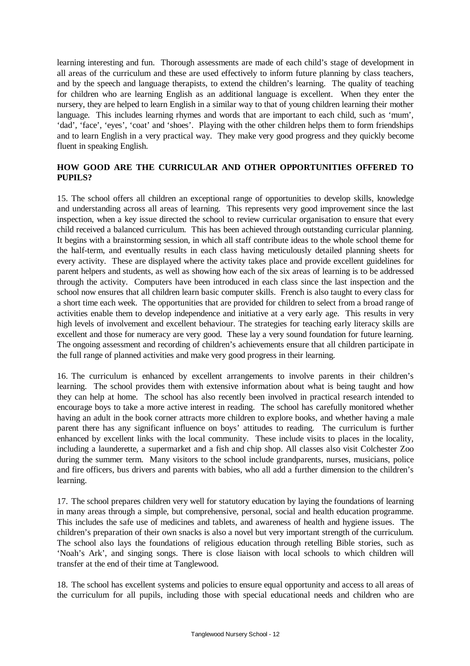learning interesting and fun. Thorough assessments are made of each child's stage of development in all areas of the curriculum and these are used effectively to inform future planning by class teachers, and by the speech and language therapists, to extend the children's learning. The quality of teaching for children who are learning English as an additional language is excellent. When they enter the nursery, they are helped to learn English in a similar way to that of young children learning their mother language. This includes learning rhymes and words that are important to each child, such as 'mum', 'dad', 'face', 'eyes', 'coat' and 'shoes'. Playing with the other children helps them to form friendships and to learn English in a very practical way. They make very good progress and they quickly become fluent in speaking English.

# **HOW GOOD ARE THE CURRICULAR AND OTHER OPPORTUNITIES OFFERED TO PUPILS?**

15. The school offers all children an exceptional range of opportunities to develop skills, knowledge and understanding across all areas of learning. This represents very good improvement since the last inspection, when a key issue directed the school to review curricular organisation to ensure that every child received a balanced curriculum. This has been achieved through outstanding curricular planning. It begins with a brainstorming session, in which all staff contribute ideas to the whole school theme for the half-term, and eventually results in each class having meticulously detailed planning sheets for every activity. These are displayed where the activity takes place and provide excellent guidelines for parent helpers and students, as well as showing how each of the six areas of learning is to be addressed through the activity. Computers have been introduced in each class since the last inspection and the school now ensures that all children learn basic computer skills. French is also taught to every class for a short time each week. The opportunities that are provided for children to select from a broad range of activities enable them to develop independence and initiative at a very early age. This results in very high levels of involvement and excellent behaviour. The strategies for teaching early literacy skills are excellent and those for numeracy are very good. These lay a very sound foundation for future learning. The ongoing assessment and recording of children's achievements ensure that all children participate in the full range of planned activities and make very good progress in their learning.

16. The curriculum is enhanced by excellent arrangements to involve parents in their children's learning. The school provides them with extensive information about what is being taught and how they can help at home. The school has also recently been involved in practical research intended to encourage boys to take a more active interest in reading. The school has carefully monitored whether having an adult in the book corner attracts more children to explore books, and whether having a male parent there has any significant influence on boys' attitudes to reading. The curriculum is further enhanced by excellent links with the local community. These include visits to places in the locality, including a launderette, a supermarket and a fish and chip shop. All classes also visit Colchester Zoo during the summer term. Many visitors to the school include grandparents, nurses, musicians, police and fire officers, bus drivers and parents with babies, who all add a further dimension to the children's learning.

17. The school prepares children very well for statutory education by laying the foundations of learning in many areas through a simple, but comprehensive, personal, social and health education programme. This includes the safe use of medicines and tablets, and awareness of health and hygiene issues. The children's preparation of their own snacks is also a novel but very important strength of the curriculum. The school also lays the foundations of religious education through retelling Bible stories, such as 'Noah's Ark', and singing songs. There is close liaison with local schools to which children will transfer at the end of their time at Tanglewood.

18. The school has excellent systems and policies to ensure equal opportunity and access to all areas of the curriculum for all pupils, including those with special educational needs and children who are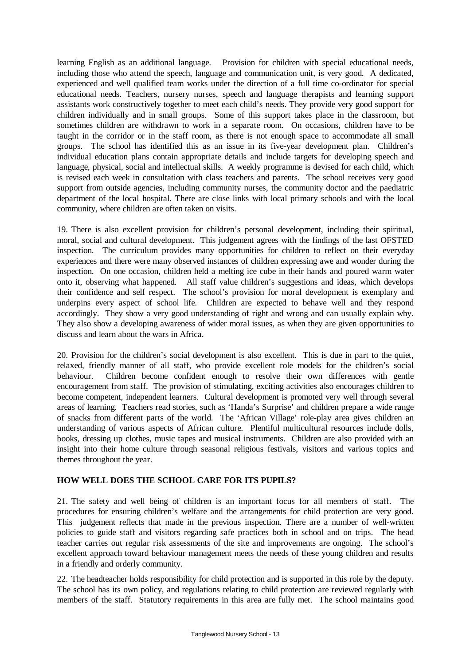learning English as an additional language. Provision for children with special educational needs, including those who attend the speech, language and communication unit, is very good. A dedicated, experienced and well qualified team works under the direction of a full time co-ordinator for special educational needs. Teachers, nursery nurses, speech and language therapists and learning support assistants work constructively together to meet each child's needs. They provide very good support for children individually and in small groups. Some of this support takes place in the classroom, but sometimes children are withdrawn to work in a separate room. On occasions, children have to be taught in the corridor or in the staff room, as there is not enough space to accommodate all small groups. The school has identified this as an issue in its five-year development plan. Children's individual education plans contain appropriate details and include targets for developing speech and language, physical, social and intellectual skills. A weekly programme is devised for each child, which is revised each week in consultation with class teachers and parents. The school receives very good support from outside agencies, including community nurses, the community doctor and the paediatric department of the local hospital. There are close links with local primary schools and with the local community, where children are often taken on visits.

19. There is also excellent provision for children's personal development, including their spiritual, moral, social and cultural development. This judgement agrees with the findings of the last OFSTED inspection. The curriculum provides many opportunities for children to reflect on their everyday experiences and there were many observed instances of children expressing awe and wonder during the inspection. On one occasion, children held a melting ice cube in their hands and poured warm water onto it, observing what happened. All staff value children's suggestions and ideas, which develops their confidence and self respect. The school's provision for moral development is exemplary and underpins every aspect of school life. Children are expected to behave well and they respond accordingly. They show a very good understanding of right and wrong and can usually explain why. They also show a developing awareness of wider moral issues, as when they are given opportunities to discuss and learn about the wars in Africa.

20. Provision for the children's social development is also excellent. This is due in part to the quiet, relaxed, friendly manner of all staff, who provide excellent role models for the children's social behaviour. Children become confident enough to resolve their own differences with gentle encouragement from staff. The provision of stimulating, exciting activities also encourages children to become competent, independent learners. Cultural development is promoted very well through several areas of learning. Teachers read stories, such as 'Handa's Surprise' and children prepare a wide range of snacks from different parts of the world. The 'African Village' role-play area gives children an understanding of various aspects of African culture. Plentiful multicultural resources include dolls, books, dressing up clothes, music tapes and musical instruments. Children are also provided with an insight into their home culture through seasonal religious festivals, visitors and various topics and themes throughout the year.

## **HOW WELL DOES THE SCHOOL CARE FOR ITS PUPILS?**

21. The safety and well being of children is an important focus for all members of staff. The procedures for ensuring children's welfare and the arrangements for child protection are very good. This judgement reflects that made in the previous inspection. There are a number of well-written policies to guide staff and visitors regarding safe practices both in school and on trips. The head teacher carries out regular risk assessments of the site and improvements are ongoing. The school's excellent approach toward behaviour management meets the needs of these young children and results in a friendly and orderly community.

22. The headteacher holds responsibility for child protection and is supported in this role by the deputy. The school has its own policy, and regulations relating to child protection are reviewed regularly with members of the staff. Statutory requirements in this area are fully met. The school maintains good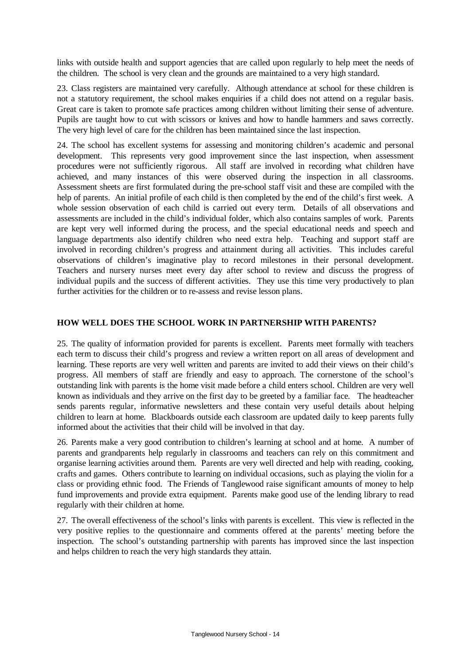links with outside health and support agencies that are called upon regularly to help meet the needs of the children. The school is very clean and the grounds are maintained to a very high standard.

23. Class registers are maintained very carefully. Although attendance at school for these children is not a statutory requirement, the school makes enquiries if a child does not attend on a regular basis. Great care is taken to promote safe practices among children without limiting their sense of adventure. Pupils are taught how to cut with scissors or knives and how to handle hammers and saws correctly. The very high level of care for the children has been maintained since the last inspection.

24. The school has excellent systems for assessing and monitoring children's academic and personal development. This represents very good improvement since the last inspection, when assessment procedures were not sufficiently rigorous. All staff are involved in recording what children have achieved, and many instances of this were observed during the inspection in all classrooms. Assessment sheets are first formulated during the pre-school staff visit and these are compiled with the help of parents. An initial profile of each child is then completed by the end of the child's first week. A whole session observation of each child is carried out every term. Details of all observations and assessments are included in the child's individual folder, which also contains samples of work. Parents are kept very well informed during the process, and the special educational needs and speech and language departments also identify children who need extra help. Teaching and support staff are involved in recording children's progress and attainment during all activities. This includes careful observations of children's imaginative play to record milestones in their personal development. Teachers and nursery nurses meet every day after school to review and discuss the progress of individual pupils and the success of different activities. They use this time very productively to plan further activities for the children or to re-assess and revise lesson plans.

## **HOW WELL DOES THE SCHOOL WORK IN PARTNERSHIP WITH PARENTS?**

25. The quality of information provided for parents is excellent. Parents meet formally with teachers each term to discuss their child's progress and review a written report on all areas of development and learning. These reports are very well written and parents are invited to add their views on their child's progress. All members of staff are friendly and easy to approach. The cornerstone of the school's outstanding link with parents is the home visit made before a child enters school. Children are very well known as individuals and they arrive on the first day to be greeted by a familiar face. The headteacher sends parents regular, informative newsletters and these contain very useful details about helping children to learn at home. Blackboards outside each classroom are updated daily to keep parents fully informed about the activities that their child will be involved in that day.

26. Parents make a very good contribution to children's learning at school and at home. A number of parents and grandparents help regularly in classrooms and teachers can rely on this commitment and organise learning activities around them. Parents are very well directed and help with reading, cooking, crafts and games. Others contribute to learning on individual occasions, such as playing the violin for a class or providing ethnic food. The Friends of Tanglewood raise significant amounts of money to help fund improvements and provide extra equipment. Parents make good use of the lending library to read regularly with their children at home.

27. The overall effectiveness of the school's links with parents is excellent. This view is reflected in the very positive replies to the questionnaire and comments offered at the parents' meeting before the inspection. The school's outstanding partnership with parents has improved since the last inspection and helps children to reach the very high standards they attain.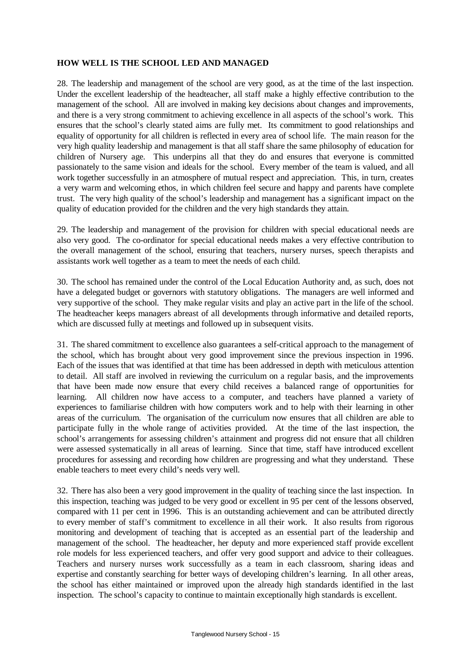## **HOW WELL IS THE SCHOOL LED AND MANAGED**

28. The leadership and management of the school are very good, as at the time of the last inspection. Under the excellent leadership of the headteacher, all staff make a highly effective contribution to the management of the school. All are involved in making key decisions about changes and improvements, and there is a very strong commitment to achieving excellence in all aspects of the school's work. This ensures that the school's clearly stated aims are fully met. Its commitment to good relationships and equality of opportunity for all children is reflected in every area of school life. The main reason for the very high quality leadership and management is that all staff share the same philosophy of education for children of Nursery age. This underpins all that they do and ensures that everyone is committed passionately to the same vision and ideals for the school. Every member of the team is valued, and all work together successfully in an atmosphere of mutual respect and appreciation. This, in turn, creates a very warm and welcoming ethos, in which children feel secure and happy and parents have complete trust. The very high quality of the school's leadership and management has a significant impact on the quality of education provided for the children and the very high standards they attain.

29. The leadership and management of the provision for children with special educational needs are also very good. The co-ordinator for special educational needs makes a very effective contribution to the overall management of the school, ensuring that teachers, nursery nurses, speech therapists and assistants work well together as a team to meet the needs of each child.

30. The school has remained under the control of the Local Education Authority and, as such, does not have a delegated budget or governors with statutory obligations. The managers are well informed and very supportive of the school. They make regular visits and play an active part in the life of the school. The headteacher keeps managers abreast of all developments through informative and detailed reports, which are discussed fully at meetings and followed up in subsequent visits.

31. The shared commitment to excellence also guarantees a self-critical approach to the management of the school, which has brought about very good improvement since the previous inspection in 1996. Each of the issues that was identified at that time has been addressed in depth with meticulous attention to detail. All staff are involved in reviewing the curriculum on a regular basis, and the improvements that have been made now ensure that every child receives a balanced range of opportunities for learning. All children now have access to a computer, and teachers have planned a variety of experiences to familiarise children with how computers work and to help with their learning in other areas of the curriculum. The organisation of the curriculum now ensures that all children are able to participate fully in the whole range of activities provided. At the time of the last inspection, the school's arrangements for assessing children's attainment and progress did not ensure that all children were assessed systematically in all areas of learning. Since that time, staff have introduced excellent procedures for assessing and recording how children are progressing and what they understand. These enable teachers to meet every child's needs very well.

32. There has also been a very good improvement in the quality of teaching since the last inspection. In this inspection, teaching was judged to be very good or excellent in 95 per cent of the lessons observed, compared with 11 per cent in 1996. This is an outstanding achievement and can be attributed directly to every member of staff's commitment to excellence in all their work. It also results from rigorous monitoring and development of teaching that is accepted as an essential part of the leadership and management of the school. The headteacher, her deputy and more experienced staff provide excellent role models for less experienced teachers, and offer very good support and advice to their colleagues. Teachers and nursery nurses work successfully as a team in each classroom, sharing ideas and expertise and constantly searching for better ways of developing children's learning. In all other areas, the school has either maintained or improved upon the already high standards identified in the last inspection. The school's capacity to continue to maintain exceptionally high standards is excellent.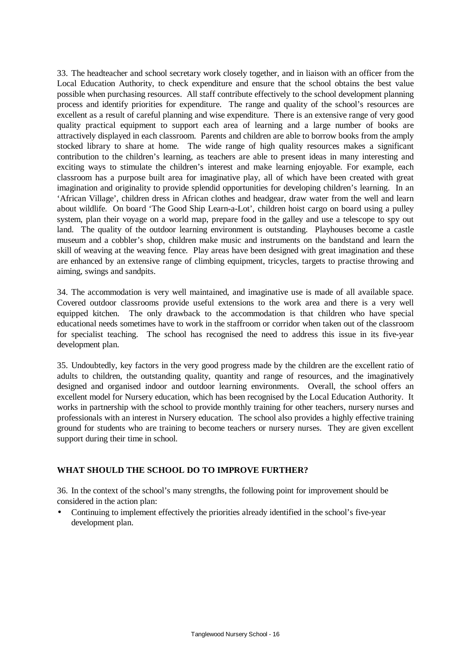33. The headteacher and school secretary work closely together, and in liaison with an officer from the Local Education Authority, to check expenditure and ensure that the school obtains the best value possible when purchasing resources. All staff contribute effectively to the school development planning process and identify priorities for expenditure. The range and quality of the school's resources are excellent as a result of careful planning and wise expenditure. There is an extensive range of very good quality practical equipment to support each area of learning and a large number of books are attractively displayed in each classroom. Parents and children are able to borrow books from the amply stocked library to share at home. The wide range of high quality resources makes a significant contribution to the children's learning, as teachers are able to present ideas in many interesting and exciting ways to stimulate the children's interest and make learning enjoyable. For example, each classroom has a purpose built area for imaginative play, all of which have been created with great imagination and originality to provide splendid opportunities for developing children's learning. In an 'African Village', children dress in African clothes and headgear, draw water from the well and learn about wildlife. On board 'The Good Ship Learn-a-Lot', children hoist cargo on board using a pulley system, plan their voyage on a world map, prepare food in the galley and use a telescope to spy out land. The quality of the outdoor learning environment is outstanding. Playhouses become a castle museum and a cobbler's shop, children make music and instruments on the bandstand and learn the skill of weaving at the weaving fence. Play areas have been designed with great imagination and these are enhanced by an extensive range of climbing equipment, tricycles, targets to practise throwing and aiming, swings and sandpits.

34. The accommodation is very well maintained, and imaginative use is made of all available space. Covered outdoor classrooms provide useful extensions to the work area and there is a very well equipped kitchen. The only drawback to the accommodation is that children who have special educational needs sometimes have to work in the staffroom or corridor when taken out of the classroom for specialist teaching. The school has recognised the need to address this issue in its five-year development plan.

35. Undoubtedly, key factors in the very good progress made by the children are the excellent ratio of adults to children, the outstanding quality, quantity and range of resources, and the imaginatively designed and organised indoor and outdoor learning environments. Overall, the school offers an excellent model for Nursery education, which has been recognised by the Local Education Authority. It works in partnership with the school to provide monthly training for other teachers, nursery nurses and professionals with an interest in Nursery education. The school also provides a highly effective training ground for students who are training to become teachers or nursery nurses. They are given excellent support during their time in school.

#### **WHAT SHOULD THE SCHOOL DO TO IMPROVE FURTHER?**

36. In the context of the school's many strengths, the following point for improvement should be considered in the action plan:

• Continuing to implement effectively the priorities already identified in the school's five-year development plan.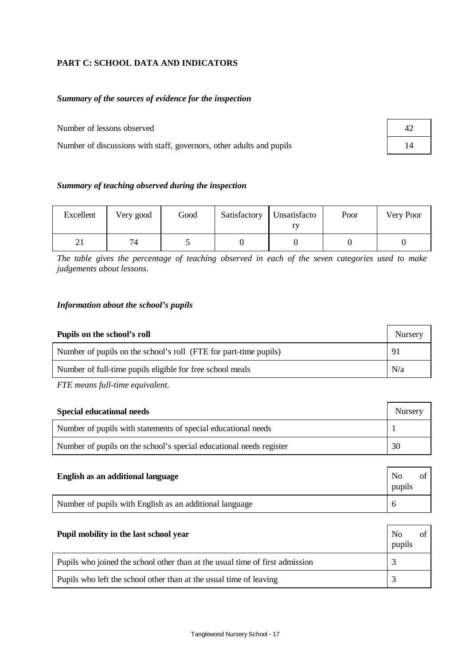# **PART C: SCHOOL DATA AND INDICATORS**

## *Summary of the sources of evidence for the inspection*

Number of lessons observed

Number of discussions with staff, governors, other adults and pupils

| 42 |  |
|----|--|
| 14 |  |

## *Summary of teaching observed during the inspection*

| Excellent | Very good | Good | Satisfactory Unsatisfacto | Poor | Very Poor |
|-----------|-----------|------|---------------------------|------|-----------|
| $\sim$ 1  | 74        |      |                           |      |           |

*The table gives the percentage of teaching observed in each of the seven categories used to make judgements about lessons.*

#### *Information about the school's pupils*

| Pupils on the school's roll                                      | Nursery |
|------------------------------------------------------------------|---------|
| Number of pupils on the school's roll (FTE for part-time pupils) | 91      |
| Number of full-time pupils eligible for free school meals        | N/a     |

*FTE means full-time equivalent.*

| <b>Special educational needs</b>                                    | Nursery |
|---------------------------------------------------------------------|---------|
| Number of pupils with statements of special educational needs       |         |
| Number of pupils on the school's special educational needs register | 30      |

| English as an additional language                       | N <sub>0</sub><br>pupils | ΟÌ |
|---------------------------------------------------------|--------------------------|----|
| Number of pupils with English as an additional language |                          |    |

| Pupil mobility in the last school year                                       | No<br>pupils |  |
|------------------------------------------------------------------------------|--------------|--|
| Pupils who joined the school other than at the usual time of first admission |              |  |
| Pupils who left the school other than at the usual time of leaving           |              |  |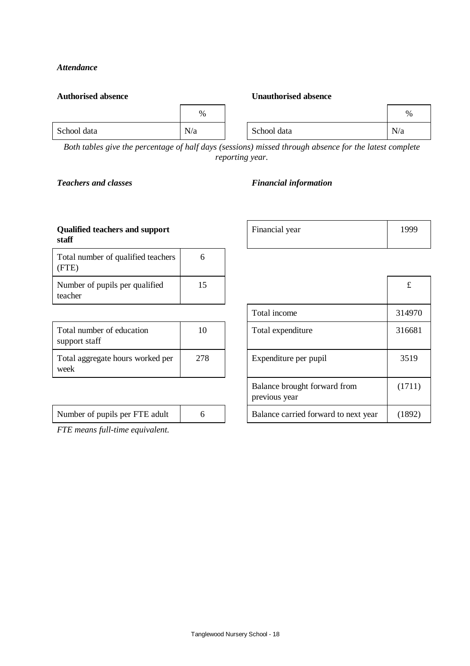## *Attendance*

| <b>Authorised absence</b> | <b>Unauthorised absence</b> |  |             |     |
|---------------------------|-----------------------------|--|-------------|-----|
|                           | $\%$                        |  |             | %   |
| School data               | N/a                         |  | School data | N/a |

*Both tables give the percentage of half days (sessions) missed through absence for the latest complete reporting year.*

# *Teachers and classes Financial information*

## **Qualified teachers and support staff**

| Total number of qualified teachers<br>(FTE) | h  |
|---------------------------------------------|----|
| Number of pupils per qualified<br>teacher   | 15 |

| Total number of education<br>support staff | 10  |
|--------------------------------------------|-----|
| Total aggregate hours worked per<br>week   | 278 |

| Number of pupils per FTE adult |  |
|--------------------------------|--|
|                                |  |

*FTE means full-time equivalent.*

| Financial year | 1999 |
|----------------|------|
|                |      |

| Number of pupils per qualified<br>teacher  | 15  |                                               | $\mathbf f$ |
|--------------------------------------------|-----|-----------------------------------------------|-------------|
|                                            |     | Total income                                  | 314970      |
| Total number of education<br>support staff | 10  | Total expenditure                             | 316681      |
| Total aggregate hours worked per<br>week   | 278 | Expenditure per pupil                         | 3519        |
|                                            |     | Balance brought forward from<br>previous year | (1711)      |
| Number of pupils per FTE adult             | 6   | Balance carried forward to next year          | (1892)      |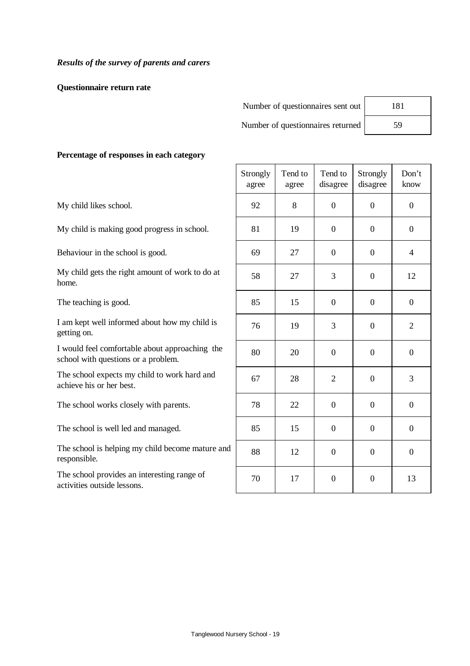*Results of the survey of parents and carers*

**Questionnaire return rate**

| Number of questionnaires sent out | 181 |
|-----------------------------------|-----|
| Number of questionnaires returned | 59  |

#### **Percentage of responses in each category**

My child likes school.

My child is making good progress in school.

Behaviour in the school is good.

My child gets the right amount of work to do at home.

The teaching is good.

I am kept well informed about how my child is getting on.

I would feel comfortable about approaching the school with questions or a problem.

The school expects my child to work hard and achieve his or her best.

The school works closely with parents.

The school is well led and managed.

The school is helping my child become mature and responsible.

The school provides an interesting range of activities outside lessons.

| Strongly<br>agree | Tend to<br>agree | Tend to<br>disagree | Strongly<br>disagree | Don't<br>know    |
|-------------------|------------------|---------------------|----------------------|------------------|
| 92                | 8                | $\boldsymbol{0}$    | $\overline{0}$       | $\overline{0}$   |
| 81                | 19               | $\boldsymbol{0}$    | $\boldsymbol{0}$     | $\boldsymbol{0}$ |
| 69                | 27               | $\boldsymbol{0}$    | $\boldsymbol{0}$     | $\overline{4}$   |
| 58                | 27               | 3                   | $\mathbf{0}$         | 12               |
| 85                | 15               | $\boldsymbol{0}$    | $\overline{0}$       | $\boldsymbol{0}$ |
| 76                | 19               | 3                   | $\overline{0}$       | $\overline{2}$   |
| 80                | 20               | $\boldsymbol{0}$    | $\mathbf{0}$         | $\boldsymbol{0}$ |
| 67                | 28               | $\overline{2}$      | $\mathbf{0}$         | 3                |
| 78                | 22               | $\boldsymbol{0}$    | $\mathbf{0}$         | $\overline{0}$   |
| 85                | 15               | $\boldsymbol{0}$    | $\boldsymbol{0}$     | $\boldsymbol{0}$ |
| 88                | 12               | $\boldsymbol{0}$    | $\mathbf{0}$         | $\boldsymbol{0}$ |
| 70                | 17               | $\overline{0}$      | $\mathbf{0}$         | 13               |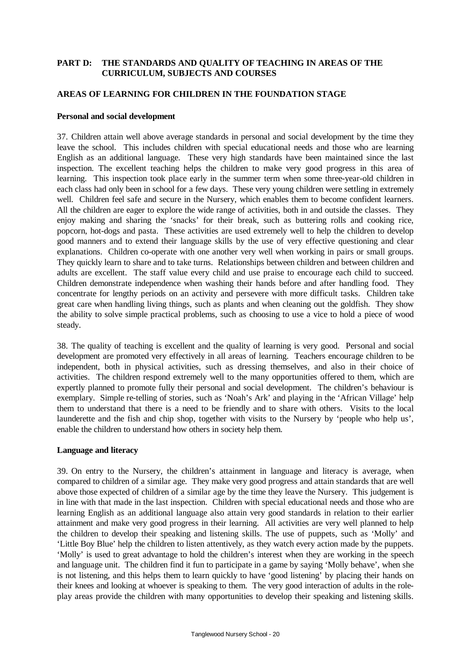## **PART D: THE STANDARDS AND QUALITY OF TEACHING IN AREAS OF THE CURRICULUM, SUBJECTS AND COURSES**

#### **AREAS OF LEARNING FOR CHILDREN IN THE FOUNDATION STAGE**

#### **Personal and social development**

37. Children attain well above average standards in personal and social development by the time they leave the school. This includes children with special educational needs and those who are learning English as an additional language. These very high standards have been maintained since the last inspection. The excellent teaching helps the children to make very good progress in this area of learning. This inspection took place early in the summer term when some three-year-old children in each class had only been in school for a few days. These very young children were settling in extremely well. Children feel safe and secure in the Nursery, which enables them to become confident learners. All the children are eager to explore the wide range of activities, both in and outside the classes. They enjoy making and sharing the 'snacks' for their break, such as buttering rolls and cooking rice, popcorn, hot-dogs and pasta. These activities are used extremely well to help the children to develop good manners and to extend their language skills by the use of very effective questioning and clear explanations. Children co-operate with one another very well when working in pairs or small groups. They quickly learn to share and to take turns. Relationships between children and between children and adults are excellent. The staff value every child and use praise to encourage each child to succeed. Children demonstrate independence when washing their hands before and after handling food. They concentrate for lengthy periods on an activity and persevere with more difficult tasks. Children take great care when handling living things, such as plants and when cleaning out the goldfish. They show the ability to solve simple practical problems, such as choosing to use a vice to hold a piece of wood steady.

38. The quality of teaching is excellent and the quality of learning is very good. Personal and social development are promoted very effectively in all areas of learning. Teachers encourage children to be independent, both in physical activities, such as dressing themselves, and also in their choice of activities. The children respond extremely well to the many opportunities offered to them, which are expertly planned to promote fully their personal and social development. The children's behaviour is exemplary. Simple re-telling of stories, such as 'Noah's Ark' and playing in the 'African Village' help them to understand that there is a need to be friendly and to share with others. Visits to the local launderette and the fish and chip shop, together with visits to the Nursery by 'people who help us', enable the children to understand how others in society help them.

#### **Language and literacy**

39. On entry to the Nursery, the children's attainment in language and literacy is average, when compared to children of a similar age. They make very good progress and attain standards that are well above those expected of children of a similar age by the time they leave the Nursery. This judgement is in line with that made in the last inspection. Children with special educational needs and those who are learning English as an additional language also attain very good standards in relation to their earlier attainment and make very good progress in their learning. All activities are very well planned to help the children to develop their speaking and listening skills. The use of puppets, such as 'Molly' and 'Little Boy Blue' help the children to listen attentively, as they watch every action made by the puppets. 'Molly' is used to great advantage to hold the children's interest when they are working in the speech and language unit. The children find it fun to participate in a game by saying 'Molly behave', when she is not listening, and this helps them to learn quickly to have 'good listening' by placing their hands on their knees and looking at whoever is speaking to them. The very good interaction of adults in the roleplay areas provide the children with many opportunities to develop their speaking and listening skills.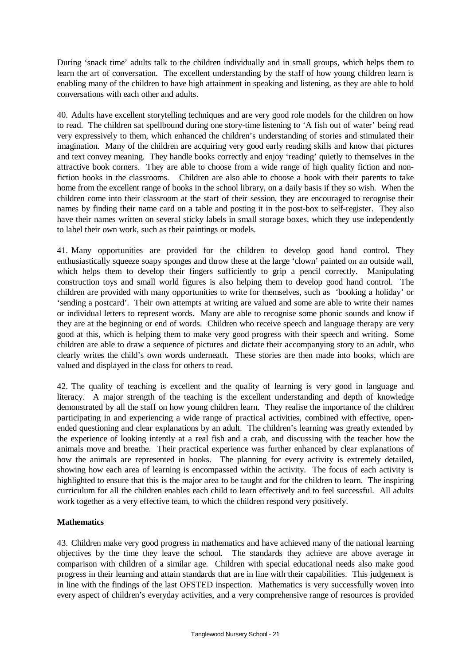During 'snack time' adults talk to the children individually and in small groups, which helps them to learn the art of conversation. The excellent understanding by the staff of how young children learn is enabling many of the children to have high attainment in speaking and listening, as they are able to hold conversations with each other and adults.

40. Adults have excellent storytelling techniques and are very good role models for the children on how to read. The children sat spellbound during one story-time listening to 'A fish out of water' being read very expressively to them, which enhanced the children's understanding of stories and stimulated their imagination. Many of the children are acquiring very good early reading skills and know that pictures and text convey meaning. They handle books correctly and enjoy 'reading' quietly to themselves in the attractive book corners. They are able to choose from a wide range of high quality fiction and nonfiction books in the classrooms. Children are also able to choose a book with their parents to take home from the excellent range of books in the school library, on a daily basis if they so wish. When the children come into their classroom at the start of their session, they are encouraged to recognise their names by finding their name card on a table and posting it in the post-box to self-register. They also have their names written on several sticky labels in small storage boxes, which they use independently to label their own work, such as their paintings or models.

41. Many opportunities are provided for the children to develop good hand control. They enthusiastically squeeze soapy sponges and throw these at the large 'clown' painted on an outside wall, which helps them to develop their fingers sufficiently to grip a pencil correctly. Manipulating construction toys and small world figures is also helping them to develop good hand control. The children are provided with many opportunities to write for themselves, such as 'booking a holiday' or 'sending a postcard'. Their own attempts at writing are valued and some are able to write their names or individual letters to represent words. Many are able to recognise some phonic sounds and know if they are at the beginning or end of words. Children who receive speech and language therapy are very good at this, which is helping them to make very good progress with their speech and writing. Some children are able to draw a sequence of pictures and dictate their accompanying story to an adult, who clearly writes the child's own words underneath. These stories are then made into books, which are valued and displayed in the class for others to read.

42. The quality of teaching is excellent and the quality of learning is very good in language and literacy. A major strength of the teaching is the excellent understanding and depth of knowledge demonstrated by all the staff on how young children learn. They realise the importance of the children participating in and experiencing a wide range of practical activities, combined with effective, openended questioning and clear explanations by an adult. The children's learning was greatly extended by the experience of looking intently at a real fish and a crab, and discussing with the teacher how the animals move and breathe. Their practical experience was further enhanced by clear explanations of how the animals are represented in books. The planning for every activity is extremely detailed, showing how each area of learning is encompassed within the activity. The focus of each activity is highlighted to ensure that this is the major area to be taught and for the children to learn. The inspiring curriculum for all the children enables each child to learn effectively and to feel successful. All adults work together as a very effective team, to which the children respond very positively.

## **Mathematics**

43. Children make very good progress in mathematics and have achieved many of the national learning objectives by the time they leave the school. The standards they achieve are above average in comparison with children of a similar age. Children with special educational needs also make good progress in their learning and attain standards that are in line with their capabilities. This judgement is in line with the findings of the last OFSTED inspection. Mathematics is very successfully woven into every aspect of children's everyday activities, and a very comprehensive range of resources is provided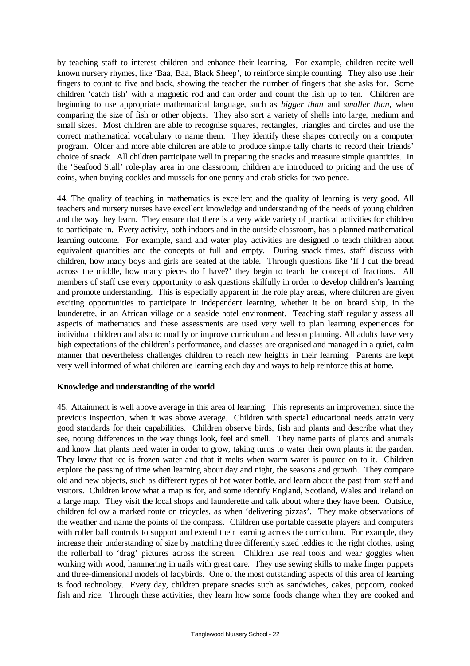by teaching staff to interest children and enhance their learning. For example, children recite well known nursery rhymes, like 'Baa, Baa, Black Sheep', to reinforce simple counting. They also use their fingers to count to five and back, showing the teacher the number of fingers that she asks for. Some children 'catch fish' with a magnetic rod and can order and count the fish up to ten. Children are beginning to use appropriate mathematical language, such as *bigger than* and *smaller than,* when comparing the size of fish or other objects. They also sort a variety of shells into large, medium and small sizes. Most children are able to recognise squares, rectangles, triangles and circles and use the correct mathematical vocabulary to name them. They identify these shapes correctly on a computer program. Older and more able children are able to produce simple tally charts to record their friends' choice of snack. All children participate well in preparing the snacks and measure simple quantities. In the 'Seafood Stall' role-play area in one classroom, children are introduced to pricing and the use of coins, when buying cockles and mussels for one penny and crab sticks for two pence.

44. The quality of teaching in mathematics is excellent and the quality of learning is very good. All teachers and nursery nurses have excellent knowledge and understanding of the needs of young children and the way they learn. They ensure that there is a very wide variety of practical activities for children to participate in. Every activity, both indoors and in the outside classroom, has a planned mathematical learning outcome. For example, sand and water play activities are designed to teach children about equivalent quantities and the concepts of full and empty. During snack times, staff discuss with children, how many boys and girls are seated at the table. Through questions like 'If I cut the bread across the middle, how many pieces do I have?' they begin to teach the concept of fractions. All members of staff use every opportunity to ask questions skilfully in order to develop children's learning and promote understanding. This is especially apparent in the role play areas, where children are given exciting opportunities to participate in independent learning, whether it be on board ship, in the launderette, in an African village or a seaside hotel environment. Teaching staff regularly assess all aspects of mathematics and these assessments are used very well to plan learning experiences for individual children and also to modify or improve curriculum and lesson planning. All adults have very high expectations of the children's performance, and classes are organised and managed in a quiet, calm manner that nevertheless challenges children to reach new heights in their learning. Parents are kept very well informed of what children are learning each day and ways to help reinforce this at home.

#### **Knowledge and understanding of the world**

45. Attainment is well above average in this area of learning. This represents an improvement since the previous inspection, when it was above average. Children with special educational needs attain very good standards for their capabilities. Children observe birds, fish and plants and describe what they see, noting differences in the way things look, feel and smell. They name parts of plants and animals and know that plants need water in order to grow, taking turns to water their own plants in the garden. They know that ice is frozen water and that it melts when warm water is poured on to it. Children explore the passing of time when learning about day and night, the seasons and growth. They compare old and new objects, such as different types of hot water bottle, and learn about the past from staff and visitors. Children know what a map is for, and some identify England, Scotland, Wales and Ireland on a large map. They visit the local shops and launderette and talk about where they have been. Outside, children follow a marked route on tricycles, as when 'delivering pizzas'. They make observations of the weather and name the points of the compass. Children use portable cassette players and computers with roller ball controls to support and extend their learning across the curriculum. For example, they increase their understanding of size by matching three differently sized teddies to the right clothes, using the rollerball to 'drag' pictures across the screen. Children use real tools and wear goggles when working with wood, hammering in nails with great care. They use sewing skills to make finger puppets and three-dimensional models of ladybirds. One of the most outstanding aspects of this area of learning is food technology. Every day, children prepare snacks such as sandwiches, cakes, popcorn, cooked fish and rice. Through these activities, they learn how some foods change when they are cooked and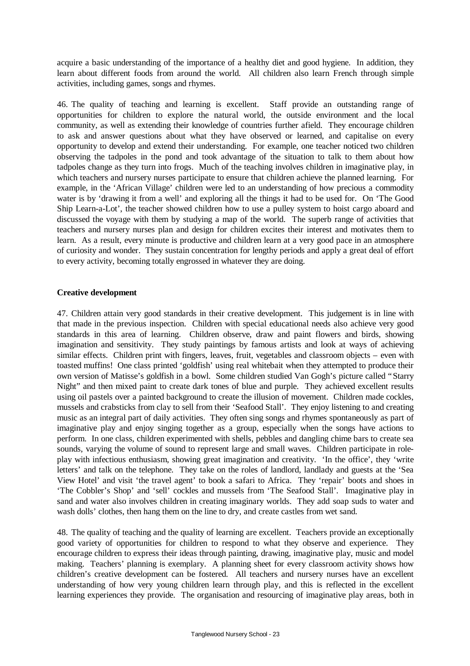acquire a basic understanding of the importance of a healthy diet and good hygiene. In addition, they learn about different foods from around the world. All children also learn French through simple activities, including games, songs and rhymes.

46. The quality of teaching and learning is excellent. Staff provide an outstanding range of opportunities for children to explore the natural world, the outside environment and the local community, as well as extending their knowledge of countries further afield. They encourage children to ask and answer questions about what they have observed or learned, and capitalise on every opportunity to develop and extend their understanding. For example, one teacher noticed two children observing the tadpoles in the pond and took advantage of the situation to talk to them about how tadpoles change as they turn into frogs. Much of the teaching involves children in imaginative play, in which teachers and nursery nurses participate to ensure that children achieve the planned learning. For example, in the 'African Village' children were led to an understanding of how precious a commodity water is by 'drawing it from a well' and exploring all the things it had to be used for. On 'The Good Ship Learn-a-Lot', the teacher showed children how to use a pulley system to hoist cargo aboard and discussed the voyage with them by studying a map of the world. The superb range of activities that teachers and nursery nurses plan and design for children excites their interest and motivates them to learn. As a result, every minute is productive and children learn at a very good pace in an atmosphere of curiosity and wonder. They sustain concentration for lengthy periods and apply a great deal of effort to every activity, becoming totally engrossed in whatever they are doing.

#### **Creative development**

47. Children attain very good standards in their creative development. This judgement is in line with that made in the previous inspection. Children with special educational needs also achieve very good standards in this area of learning. Children observe, draw and paint flowers and birds, showing imagination and sensitivity. They study paintings by famous artists and look at ways of achieving similar effects. Children print with fingers, leaves, fruit, vegetables and classroom objects – even with toasted muffins! One class printed 'goldfish' using real whitebait when they attempted to produce their own version of Matisse's goldfish in a bowl. Some children studied Van Gogh's picture called "Starry Night" and then mixed paint to create dark tones of blue and purple. They achieved excellent results using oil pastels over a painted background to create the illusion of movement. Children made cockles, mussels and crabsticks from clay to sell from their 'Seafood Stall'. They enjoy listening to and creating music as an integral part of daily activities. They often sing songs and rhymes spontaneously as part of imaginative play and enjoy singing together as a group, especially when the songs have actions to perform. In one class, children experimented with shells, pebbles and dangling chime bars to create sea sounds, varying the volume of sound to represent large and small waves. Children participate in roleplay with infectious enthusiasm, showing great imagination and creativity. 'In the office', they 'write letters' and talk on the telephone. They take on the roles of landlord, landlady and guests at the 'Sea View Hotel' and visit 'the travel agent' to book a safari to Africa. They 'repair' boots and shoes in 'The Cobbler's Shop' and 'sell' cockles and mussels from 'The Seafood Stall'. Imaginative play in sand and water also involves children in creating imaginary worlds. They add soap suds to water and wash dolls' clothes, then hang them on the line to dry, and create castles from wet sand.

48. The quality of teaching and the quality of learning are excellent. Teachers provide an exceptionally good variety of opportunities for children to respond to what they observe and experience. They encourage children to express their ideas through painting, drawing, imaginative play, music and model making. Teachers' planning is exemplary. A planning sheet for every classroom activity shows how children's creative development can be fostered. All teachers and nursery nurses have an excellent understanding of how very young children learn through play, and this is reflected in the excellent learning experiences they provide. The organisation and resourcing of imaginative play areas, both in